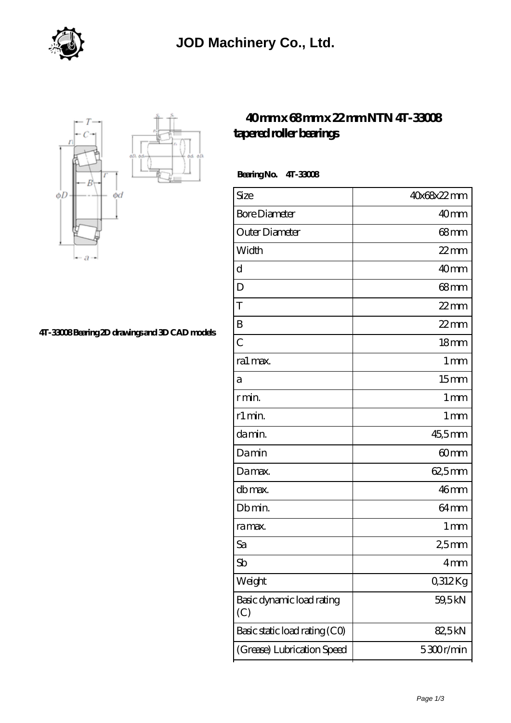



## **[4T-33008 Bearing 2D drawings and 3D CAD models](https://m.virtual-solution.net/pic-65144998.html)**

## **[40 mm x 68 mm x 22 mm NTN 4T-33008](https://m.virtual-solution.net/ntn-4t-33008-bearing/) [tapered roller bearings](https://m.virtual-solution.net/ntn-4t-33008-bearing/)**

 **Bearing No. 4T-33008**

| Size                             | 40x68x22mm        |
|----------------------------------|-------------------|
| <b>Bore Diameter</b>             | 40 <sub>mm</sub>  |
| Outer Diameter                   | $68 \text{mm}$    |
| Width                            | $22$ mm           |
| d                                | 40mm              |
| D                                | $68 \text{mm}$    |
| T                                | $22$ mm           |
| B                                | $22$ mm           |
| $\overline{C}$                   | 18 <sub>mm</sub>  |
| ra1 max.                         | 1 <sub>mm</sub>   |
| a                                | 15 <sub>mm</sub>  |
| r min.                           | $1 \,\mathrm{mm}$ |
| r1 min.                          | $1 \,\mathrm{mm}$ |
| damin.                           | 45,5mm            |
| Damin                            | 60 <sub>mm</sub>  |
| Damax.                           | 62,5mm            |
| db max.                          | 46mm              |
| Db min.                          | 64 <sub>mm</sub>  |
| ra max.                          | $1 \,\mathrm{mm}$ |
| Sa                               | 25mm              |
| Sb                               | $4 \text{mm}$     |
| Weight                           | 0,312Kg           |
| Basic dynamic load rating<br>(C) | 59,5 kN           |
| Basic static load rating (CO)    | 82,5kN            |
| (Grease) Lubrication Speed       | 5300r/min         |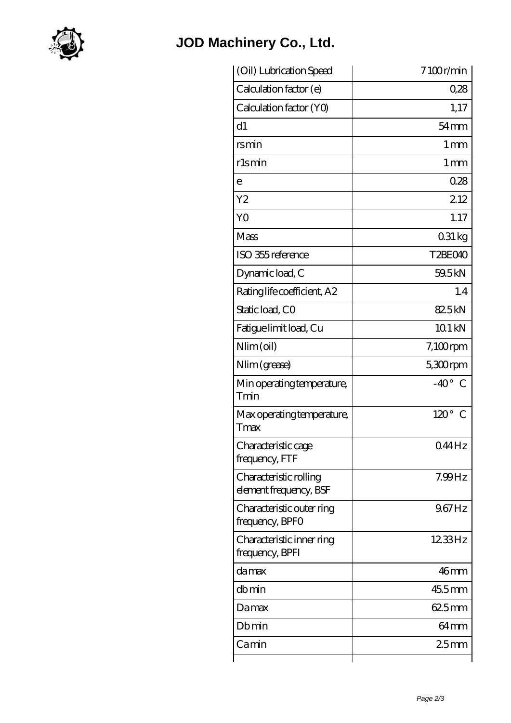

## **[JOD Machinery Co., Ltd.](https://m.virtual-solution.net)**

| (Oil) Lubrication Speed                          | 7100r/min          |
|--------------------------------------------------|--------------------|
| Calculation factor (e)                           | 0.28               |
| Calculation factor (YO)                          | 1,17               |
| d1                                               | $54 \text{mm}$     |
| rsmin                                            | 1 <sub>mm</sub>    |
| rlsmin                                           | $1 \,\mathrm{mm}$  |
| е                                                | 0.28               |
| Y2                                               | 212                |
| YO                                               | 1.17               |
| Mass                                             | $031\,\mathrm{kg}$ |
| ISO 355 reference                                | T2BEO40            |
| Dynamic load, C                                  | 59.5 kN            |
| Rating life coefficient, A2                      | 1.4                |
| Static load, CO                                  | 825kN              |
| Fatigue limit load, Cu                           | 10.1 kN            |
| Nlim (oil)                                       | $7,100$ rpm        |
| Nlim (grease)                                    | $5,300$ rpm        |
| Min operating temperature,<br>Tmin               | $-40^{\circ}$ C    |
| Max operating temperature,<br>Tmax               | $120^\circ$ C      |
| Characteristic cage<br>frequency, FTF            | $044$ Hz           |
| Characteristic rolling<br>element frequency, BSF | 7.99Hz             |
| Characteristic outer ring<br>frequency, BPFO     | $967$ Hz           |
| Characteristic inner ring<br>frequency, BPFI     | 1233Hz             |
| damax                                            | 46mm               |
| dbmin                                            | 455mm              |
| Damax                                            | 625mm              |
| Dbmin                                            | 64 <sub>mm</sub>   |
| Camin                                            | 25 <sub>mm</sub>   |
|                                                  |                    |